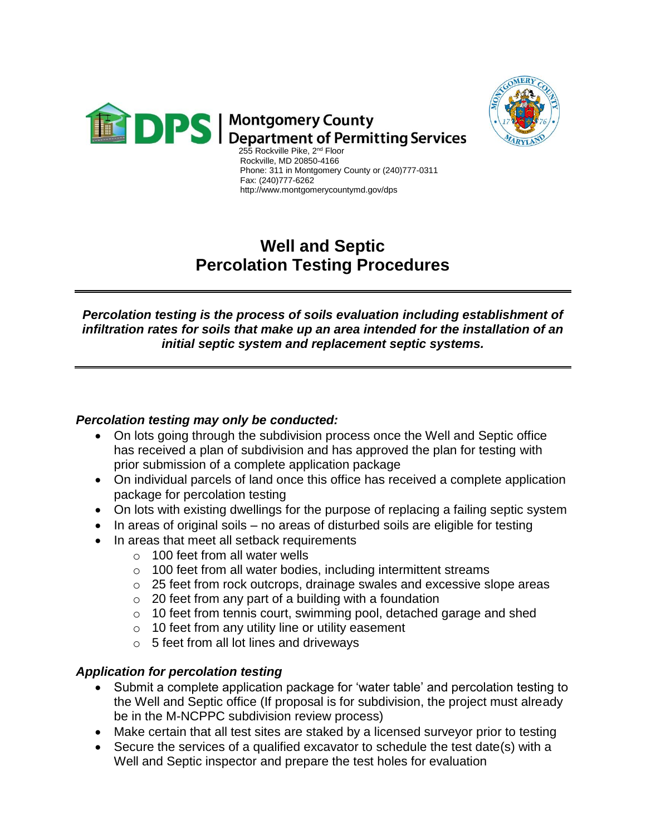

Fax: (240)777-6262



## **Well and Septic Percolation Testing Procedures**

http://www.montgomerycountymd.gov/dps

*Percolation testing is the process of soils evaluation including establishment of infiltration rates for soils that make up an area intended for the installation of an initial septic system and replacement septic systems.*

## *Percolation testing may only be conducted:*

- On lots going through the subdivision process once the Well and Septic office has received a plan of subdivision and has approved the plan for testing with prior submission of a complete application package
- On individual parcels of land once this office has received a complete application package for percolation testing
- On lots with existing dwellings for the purpose of replacing a failing septic system
- In areas of original soils no areas of disturbed soils are eligible for testing
- In areas that meet all setback requirements
	- o 100 feet from all water wells
	- o 100 feet from all water bodies, including intermittent streams
	- o 25 feet from rock outcrops, drainage swales and excessive slope areas
	- $\circ$  20 feet from any part of a building with a foundation
	- o 10 feet from tennis court, swimming pool, detached garage and shed
	- $\circ$  10 feet from any utility line or utility easement
	- o 5 feet from all lot lines and driveways

## *Application for percolation testing*

- Submit a complete application package for 'water table' and percolation testing to the Well and Septic office (If proposal is for subdivision, the project must already be in the M-NCPPC subdivision review process)
- Make certain that all test sites are staked by a licensed surveyor prior to testing
- Secure the services of a qualified excavator to schedule the test date(s) with a Well and Septic inspector and prepare the test holes for evaluation